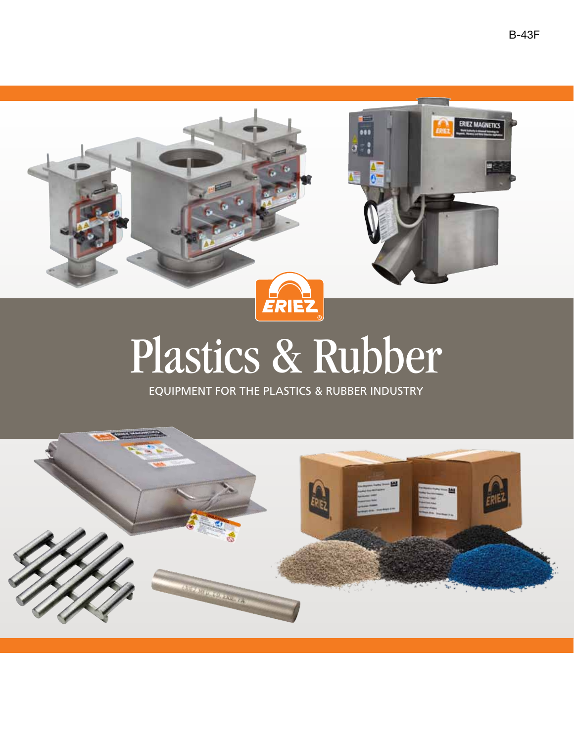

# Plastics & Rubber

Equipment for the plastics & rubber industry

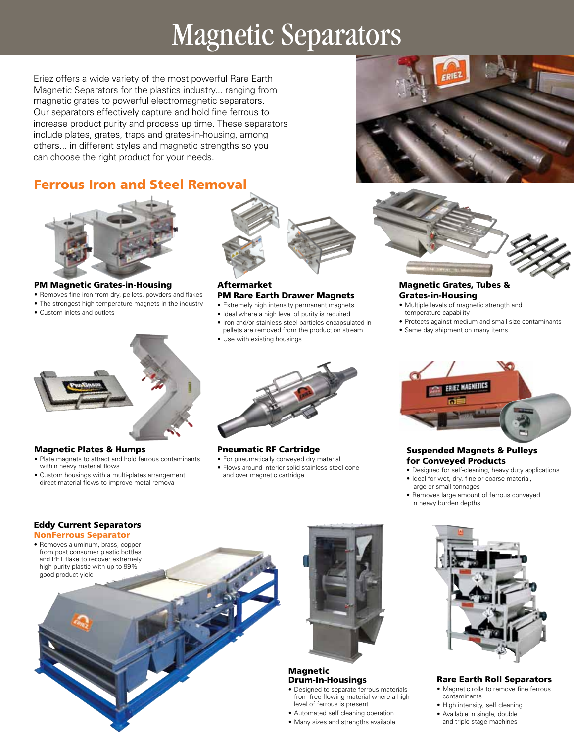### Magnetic Separators

Eriez offers a wide variety of the most powerful Rare Earth Magnetic Separators for the plastics industry... ranging from magnetic grates to powerful electromagnetic separators. Our separators effectively capture and hold fine ferrous to increase product purity and process up time. These separators include plates, grates, traps and grates-in-housing, among others... in different styles and magnetic strengths so you can choose the right product for your needs.

### Ferrous Iron and Steel Removal



PM Magnetic Grates-in-Housing

- Removes fine iron from dry, pellets, powders and flakes
- The strongest high temperature magnets in the industry
- • Custom inlets and outlets



- Aftermarket PM Rare Earth Drawer Magnets
- Extremely high intensity permanent magnets
- Ideal where a high level of purity is required
- • Iron and/or stainless steel particles encapsulated in pellets are removed from the production stream
- Use with existing housings



#### Pneumatic RF Cartridge

• Flows around interior solid stainless steel cone and over magnetic cartridge





#### Magnetic Grates, Tubes & Grates-in-Housing

- • Multiple levels of magnetic strength and temperature capability
- Protects against medium and small size contaminants
- • Same day shipment on many items



#### Suspended Magnets & Pulleys for Conveyed Products

- Designed for self-cleaning, heavy duty applications
- • Ideal for wet, dry, fine or coarse material, large or small tonnages
- Removes large amount of ferrous conveyed in heavy burden depths



#### Rare Earth Roll Separators

- • Magnetic rolls to remove fine ferrous contaminants
- High intensity, self cleaning
- • Available in single, double and triple stage machines



#### Magnetic Plates & Humps

- • Plate magnets to attract and hold ferrous contaminants within heavy material flows
- Custom housings with a multi-plates arrangement direct material flows to improve metal removal

#### Eddy Current Separators

- NonFerrous Separator
- • Removes aluminum, brass, copper from post consumer plastic bottles and PET flake to recover extremely high purity plastic with up to 99% good product yield





#### Magnetic Drum-In-Housings

- • Designed to separate ferrous materials from free-flowing material where a high level of ferrous is present
- Automated self cleaning operation
- • Many sizes and strengths available

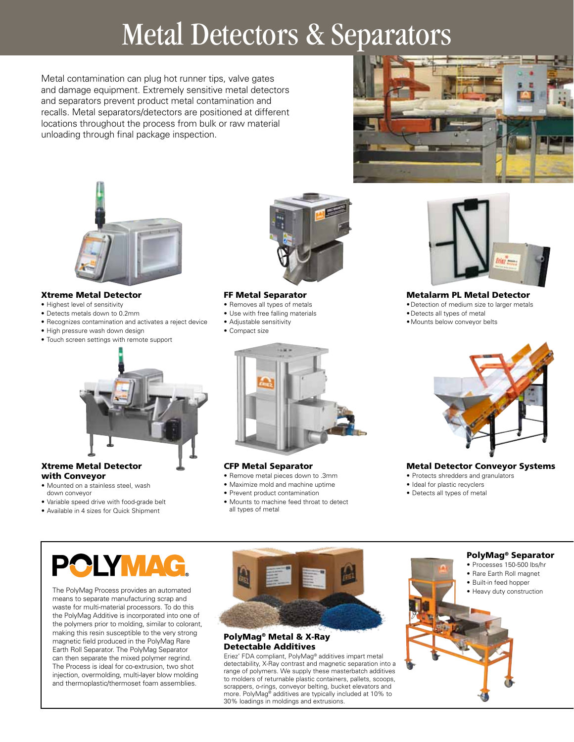### Metal Detectors & Separators

Metal contamination can plug hot runner tips, valve gates and damage equipment. Extremely sensitive metal detectors and separators prevent product metal contamination and recalls. Metal separators/detectors are positioned at different locations throughout the process from bulk or raw material unloading through final package inspection.



#### Xtreme Metal Detector

- Highest level of sensitivity
- • Detects metals down to 0.2mm
- • Recognizes contamination and activates a reject device
- High pressure wash down design
- • Touch screen settings with remote support



#### FF Metal Separator

- • Removes all types of metals
- • Use with free falling materials
- • Adjustable sensitivity
- • Compact size





Metalarm PL Metal Detector

- • Detection of medium size to larger metals
- • Detects all types of metal
- • Mounts below conveyor belts



#### Xtreme Metal Detector with Conveyor

- • Mounted on a stainless steel, wash down conveyor
- • Variable speed drive with food-grade belt
- • Available in 4 sizes for Quick Shipment



#### CFP Metal Separator

- • Remove metal pieces down to .3mm
- • Maximize mold and machine uptime
- • Prevent product contamination
- • Mounts to machine feed throat to detect all types of metal



#### Metal Detector Conveyor Systems

- Protects shredders and granulators
- Ideal for plastic recyclers
- • Detects all types of metal

means to separate manufacturing scrap and waste for multi-material processors. To do this the PolyMag Additive is incorporated into one of the polymers prior to molding, similar to colorant, making this resin susceptible to the very strong magnetic field produced in the PolyMag Rare Earth Roll Separator. The PolyMag Separator can then separate the mixed polymer regrind. The Process is ideal for co-extrusion, two shot injection, overmolding, multi-layer blow molding and thermoplastic/thermoset foam assemblies.



#### PolyMag® Metal & X-Ray Detectable Additives

Eriez' FDA compliant, PolyMag® additives impart metal detectability, X-Ray contrast and magnetic separation into a range of polymers. We supply these masterbatch additives to molders of returnable plastic containers, pallets, scoops, scrappers, o-rings, conveyor belting, bucket elevators and more. PolyMag® additives are typically included at 10% to 30% loadings in moldings and extrusions.

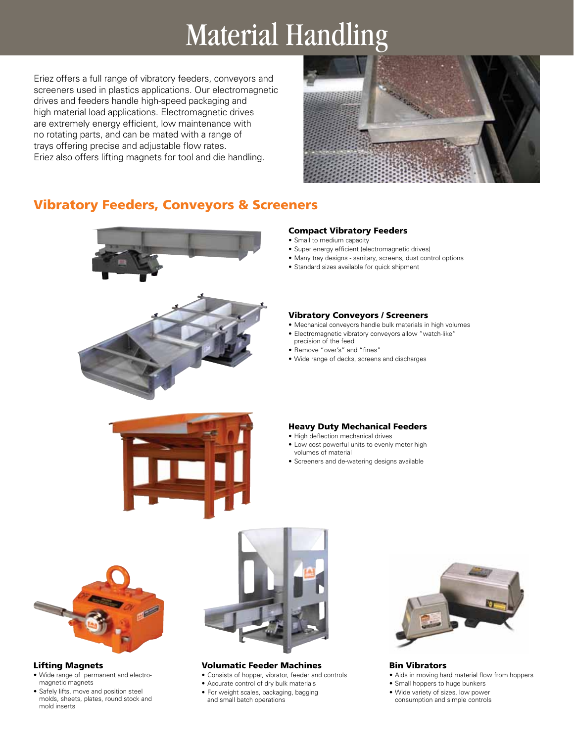### Material Handling

Eriez offers a full range of vibratory feeders, conveyors and screeners used in plastics applications. Our electromagnetic drives and feeders handle high-speed packaging and high material load applications. Electromagnetic drives are extremely energy efficient, low maintenance with no rotating parts, and can be mated with a range of trays offering precise and adjustable flow rates. Eriez also offers lifting magnets for tool and die handling.



#### Vibratory Feeders, Conveyors & Screeners



#### Compact Vibratory Feeders

- Small to medium capacity
- Super energy efficient (electromagnetic drives)
- Many tray designs sanitary, screens, dust control options
- • Standard sizes available for quick shipment

#### Vibratory Conveyors / Screeners

- • Mechanical conveyors handle bulk materials in high volumes
- • Electromagnetic vibratory conveyors allow "watch-like"
- precision of the feed
- • Remove "over's" and "fines"
- • Wide range of decks, screens and discharges



#### Heavy Duty Mechanical Feeders

- High deflection mechanical drives
- Low cost powerful units to evenly meter high volumes of material
- • Screeners and de-watering designs available



#### Lifting Magnets

- • Wide range of permanent and electromagnetic magnets
- • Safely lifts, move and position steel molds, sheets, plates, round stock and mold inserts



#### Volumatic Feeder Machines

- • Consists of hopper, vibrator, feeder and controls
- • Accurate control of dry bulk materials
- For weight scales, packaging, bagging and small batch operations



#### Bin Vibrators

- • Aids in moving hard material flow from hoppers
- Small hoppers to huge bunkers
- • Wide variety of sizes, low power consumption and simple controls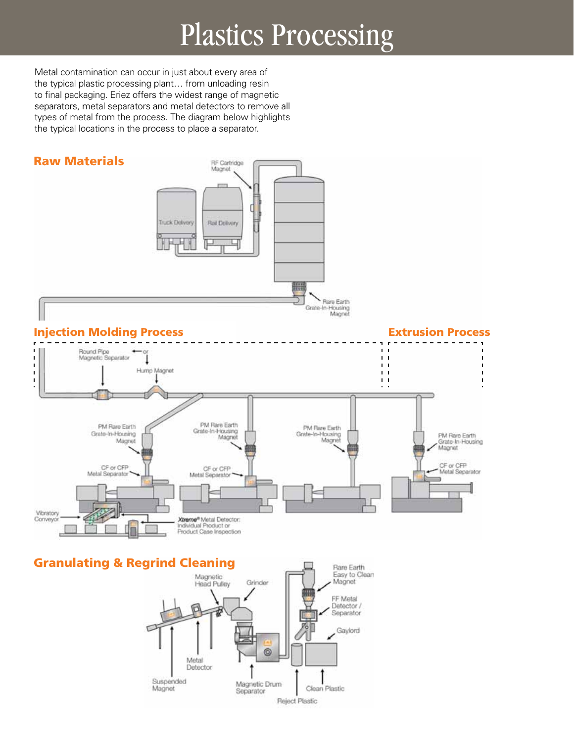## Plastics Processing

Metal contamination can occur in just about every area of the typical plastic processing plant… from unloading resin to final packaging. Eriez offers the widest range of magnetic separators, metal separators and metal detectors to remove all types of metal from the process. The diagram below highlights the typical locations in the process to place a separator.



#### Granulating & Regrind Cleaning